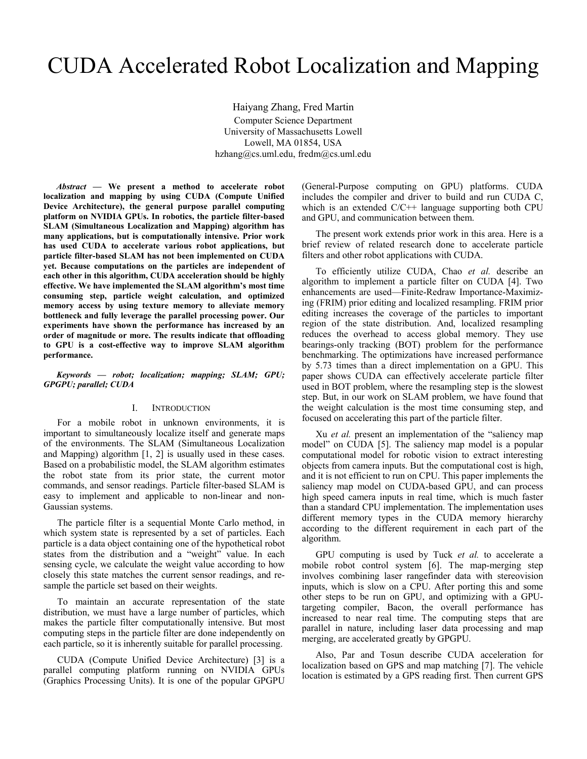# CUDA Accelerated Robot Localization and Mapping

Haiyang Zhang, Fred Martin Computer Science Department University of Massachusetts Lowell Lowell, MA 01854, USA hzhang@cs.uml.edu, fredm@cs.uml.edu

*Abstract* **— We present a method to accelerate robot localization and mapping by using CUDA (Compute Unified Device Architecture), the general purpose parallel computing platform on NVIDIA GPUs. In robotics, the particle filter-based SLAM (Simultaneous Localization and Mapping) algorithm has many applications, but is computationally intensive. Prior work has used CUDA to accelerate various robot applications, but particle filter-based SLAM has not been implemented on CUDA yet. Because computations on the particles are independent of each other in this algorithm, CUDA acceleration should be highly effective. We have implemented the SLAM algorithm's most time consuming step, particle weight calculation, and optimized memory access by using texture memory to alleviate memory bottleneck and fully leverage the parallel processing power. Our experiments have shown the performance has increased by an order of magnitude or more. The results indicate that offloading to GPU is a cost-effective way to improve SLAM algorithm performance.** 

*Keywords — robot; localization; mapping; SLAM; GPU; GPGPU; parallel; CUDA* 

## I. INTRODUCTION

For a mobile robot in unknown environments, it is important to simultaneously localize itself and generate maps of the environments. The SLAM (Simultaneous Localization and Mapping) algorithm [1, 2] is usually used in these cases. Based on a probabilistic model, the SLAM algorithm estimates the robot state from its prior state, the current motor commands, and sensor readings. Particle filter-based SLAM is easy to implement and applicable to non-linear and non-Gaussian systems.

The particle filter is a sequential Monte Carlo method, in which system state is represented by a set of particles. Each particle is a data object containing one of the hypothetical robot states from the distribution and a "weight" value. In each sensing cycle, we calculate the weight value according to how closely this state matches the current sensor readings, and resample the particle set based on their weights.

To maintain an accurate representation of the state distribution, we must have a large number of particles, which makes the particle filter computationally intensive. But most computing steps in the particle filter are done independently on each particle, so it is inherently suitable for parallel processing.

CUDA (Compute Unified Device Architecture) [3] is a parallel computing platform running on NVIDIA GPUs (Graphics Processing Units). It is one of the popular GPGPU

(General-Purpose computing on GPU) platforms. CUDA includes the compiler and driver to build and run CUDA C, which is an extended  $C/C++$  language supporting both CPU and GPU, and communication between them.

The present work extends prior work in this area. Here is a brief review of related research done to accelerate particle filters and other robot applications with CUDA.

To efficiently utilize CUDA, Chao *et al.* describe an algorithm to implement a particle filter on CUDA [4]. Two enhancements are used—Finite-Redraw Importance-Maximizing (FRIM) prior editing and localized resampling. FRIM prior editing increases the coverage of the particles to important region of the state distribution. And, localized resampling reduces the overhead to access global memory. They use bearings-only tracking (BOT) problem for the performance benchmarking. The optimizations have increased performance by 5.73 times than a direct implementation on a GPU. This paper shows CUDA can effectively accelerate particle filter used in BOT problem, where the resampling step is the slowest step. But, in our work on SLAM problem, we have found that the weight calculation is the most time consuming step, and focused on accelerating this part of the particle filter.

Xu *et al.* present an implementation of the "saliency map" model" on CUDA [5]. The saliency map model is a popular computational model for robotic vision to extract interesting objects from camera inputs. But the computational cost is high, and it is not efficient to run on CPU. This paper implements the saliency map model on CUDA-based GPU, and can process high speed camera inputs in real time, which is much faster than a standard CPU implementation. The implementation uses different memory types in the CUDA memory hierarchy according to the different requirement in each part of the algorithm.

GPU computing is used by Tuck *et al.* to accelerate a mobile robot control system [6]. The map-merging step involves combining laser rangefinder data with stereovision inputs, which is slow on a CPU. After porting this and some other steps to be run on GPU, and optimizing with a GPUtargeting compiler, Bacon, the overall performance has increased to near real time. The computing steps that are parallel in nature, including laser data processing and map merging, are accelerated greatly by GPGPU.

Also, Par and Tosun describe CUDA acceleration for localization based on GPS and map matching [7]. The vehicle location is estimated by a GPS reading first. Then current GPS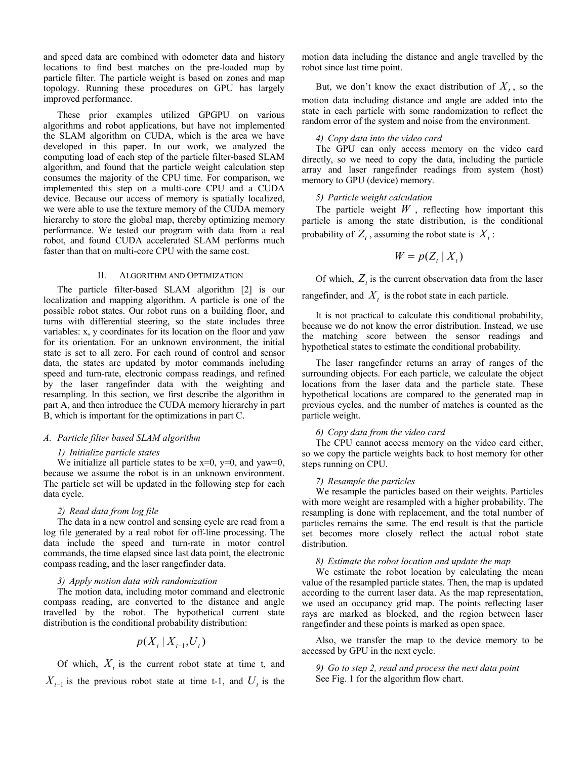and speed data are combined with odometer data and history locations to find best matches on the pre-loaded map by particle filter. The particle weight is based on zones and map topology. Running these procedures on GPU has largely improved performance.

These prior examples utilized GPGPU on various algorithms and robot applications, but have not implemented the SLAM algorithm on CUDA, which is the area we have developed in this paper. In our work, we analyzed the computing load of each step of the particle filter-based SLAM algorithm, and found that the particle weight calculation step consumes the majority of the CPU time. For comparison, we implemented this step on a multi-core CPU and a CUDA device. Because our access of memory is spatially localized, we were able to use the texture memory of the CUDA memory hierarchy to store the global map, thereby optimizing memory performance. We tested our program with data from a real robot, and found CUDA accelerated SLAM performs much faster than that on multi-core CPU with the same cost.

## II. ALGORITHM AND OPTIMIZATION

The particle filter-based SLAM algorithm [2] is our localization and mapping algorithm. A particle is one of the possible robot states. Our robot runs on a building floor, and turns with differential steering, so the state includes three variables: x, y coordinates for its location on the floor and yaw for its orientation. For an unknown environment, the initial state is set to all zero. For each round of control and sensor data, the states are updated by motor commands including speed and turn-rate, electronic compass readings, and refined by the laser rangefinder data with the weighting and resampling. In this section, we first describe the algorithm in part A, and then introduce the CUDA memory hierarchy in part B, which is important for the optimizations in part C.

## *A. Particle filter based SLAM algorithm*

#### *1) Initialize particle states*

We initialize all particle states to be  $x=0$ ,  $y=0$ , and  $yaw=0$ , because we assume the robot is in an unknown environment. The particle set will be updated in the following step for each data cycle.

## *2) Read data from log file*

The data in a new control and sensing cycle are read from a log file generated by a real robot for off-line processing. The data include the speed and turn-rate in motor control commands, the time elapsed since last data point, the electronic compass reading, and the laser rangefinder data.

### *3) Apply motion data with randomization*

The motion data, including motor command and electronic compass reading, are converted to the distance and angle travelled by the robot. The hypothetical current state distribution is the conditional probability distribution:

$$
p(X_t | X_{t-1}, U_t)
$$

Of which,  $X<sub>t</sub>$  is the current robot state at time t, and  $X_{t-1}$  is the previous robot state at time t-1, and  $U_t$  is the motion data including the distance and angle travelled by the robot since last time point.

But, we don't know the exact distribution of  $X_t$ , so the motion data including distance and angle are added into the state in each particle with some randomization to reflect the random error of the system and noise from the environment.

### *4) Copy data into the video card*

The GPU can only access memory on the video card directly, so we need to copy the data, including the particle array and laser rangefinder readings from system (host) memory to GPU (device) memory.

## *5) Particle weight calculation*

The particle weight  $W$ , reflecting how important this particle is among the state distribution, is the conditional probability of  $Z_t$ , assuming the robot state is  $X_t$ :

$$
W = p(Z_t | X_t)
$$

Of which,  $Z_t$  is the current observation data from the laser rangefinder, and  $X_t$  is the robot state in each particle.

It is not practical to calculate this conditional probability, because we do not know the error distribution. Instead, we use the matching score between the sensor readings and hypothetical states to estimate the conditional probability.

The laser rangefinder returns an array of ranges of the surrounding objects. For each particle, we calculate the object locations from the laser data and the particle state. These hypothetical locations are compared to the generated map in previous cycles, and the number of matches is counted as the particle weight.

## *6) Copy data from the video card*

The CPU cannot access memory on the video card either, so we copy the particle weights back to host memory for other steps running on CPU.

#### *7) Resample the particles*

We resample the particles based on their weights. Particles with more weight are resampled with a higher probability. The resampling is done with replacement, and the total number of particles remains the same. The end result is that the particle set becomes more closely reflect the actual robot state distribution.

#### *8) Estimate the robot location and update the map*

We estimate the robot location by calculating the mean value of the resampled particle states. Then, the map is updated according to the current laser data. As the map representation, we used an occupancy grid map. The points reflecting laser rays are marked as blocked, and the region between laser rangefinder and these points is marked as open space.

Also, we transfer the map to the device memory to be accessed by GPU in the next cycle.

*9) Go to step 2, read and process the next data point*  See Fig. 1 for the algorithm flow chart.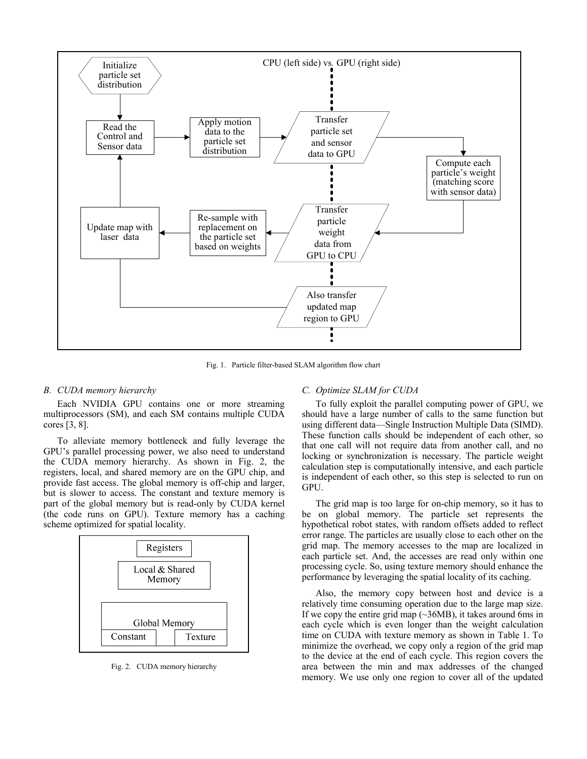

Fig. 1. Particle filter-based SLAM algorithm flow chart

## *B. CUDA memory hierarchy*

Each NVIDIA GPU contains one or more streaming multiprocessors (SM), and each SM contains multiple CUDA cores [3, 8].

To alleviate memory bottleneck and fully leverage the GPU's parallel processing power, we also need to understand the CUDA memory hierarchy. As shown in Fig. 2, the registers, local, and shared memory are on the GPU chip, and provide fast access. The global memory is off-chip and larger, but is slower to access. The constant and texture memory is part of the global memory but is read-only by CUDA kernel (the code runs on GPU). Texture memory has a caching scheme optimized for spatial locality.



Fig. 2. CUDA memory hierarchy

## *C. Optimize SLAM for CUDA*

To fully exploit the parallel computing power of GPU, we should have a large number of calls to the same function but using different data—Single Instruction Multiple Data (SIMD). These function calls should be independent of each other, so that one call will not require data from another call, and no locking or synchronization is necessary. The particle weight calculation step is computationally intensive, and each particle is independent of each other, so this step is selected to run on GPU.

The grid map is too large for on-chip memory, so it has to be on global memory. The particle set represents the hypothetical robot states, with random offsets added to reflect error range. The particles are usually close to each other on the grid map. The memory accesses to the map are localized in each particle set. And, the accesses are read only within one processing cycle. So, using texture memory should enhance the performance by leveraging the spatial locality of its caching.

Also, the memory copy between host and device is a relatively time consuming operation due to the large map size. If we copy the entire grid map (~36MB), it takes around 6ms in each cycle which is even longer than the weight calculation time on CUDA with texture memory as shown in Table 1. To minimize the overhead, we copy only a region of the grid map to the device at the end of each cycle. This region covers the area between the min and max addresses of the changed memory. We use only one region to cover all of the updated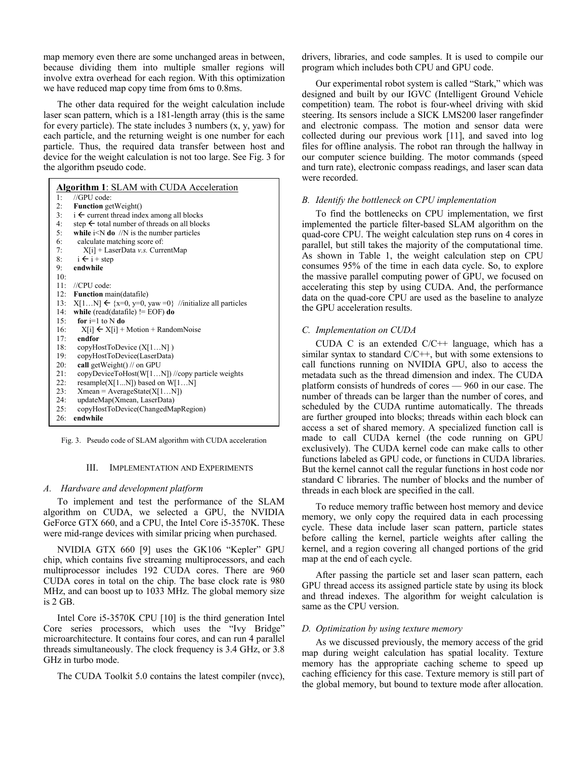map memory even there are some unchanged areas in between, because dividing them into multiple smaller regions will involve extra overhead for each region. With this optimization we have reduced map copy time from 6ms to 0.8ms.

The other data required for the weight calculation include laser scan pattern, which is a 181-length array (this is the same for every particle). The state includes 3 numbers  $(x, y, y, y)$  for each particle, and the returning weight is one number for each particle. Thus, the required data transfer between host and device for the weight calculation is not too large. See Fig. 3 for the algorithm pseudo code.

| Algorithm 1: SLAM with CUDA Acceleration |                                                                   |  |  |  |
|------------------------------------------|-------------------------------------------------------------------|--|--|--|
| 1:                                       | //GPUcode                                                         |  |  |  |
| 2:                                       | <b>Function</b> getWeight()                                       |  |  |  |
| 3:                                       | $i \leftarrow$ current thread index among all blocks              |  |  |  |
| 4:                                       | step $\leftarrow$ total number of threads on all blocks           |  |  |  |
| 5:                                       | while $i < N$ do //N is the number particles                      |  |  |  |
| 6:                                       | calculate matching score of:                                      |  |  |  |
| 7:                                       | $X[i]$ + LaserData v.s. CurrentMap                                |  |  |  |
| 8:                                       | $i \leftarrow i + step$                                           |  |  |  |
| 9:                                       | endwhile                                                          |  |  |  |
| 10:                                      |                                                                   |  |  |  |
| 11:                                      | $//$ CPU code:                                                    |  |  |  |
|                                          | 12: Function main(datafile)                                       |  |  |  |
| 13:                                      | $X[1N] \leftarrow \{x=0, y=0, yaw=0\}$ //initialize all particles |  |  |  |
| 14:                                      | while (read(datafile) $!=$ EOF) do                                |  |  |  |
| 15:                                      | for $i=1$ to N do                                                 |  |  |  |
| 16:                                      | $X[i] \leftarrow X[i] + Motion + RandomNoise$                     |  |  |  |
| 17:                                      | endfor                                                            |  |  |  |
| 18:                                      | copyHostToDevice (X[1N])                                          |  |  |  |
| 19:                                      | copyHostToDevice(LaserData)                                       |  |  |  |
| 20:                                      | call getWeight $()$ // on GPU                                     |  |  |  |
| 21:                                      | copyDeviceToHost(W[1N]) //copy particle weights                   |  |  |  |
| 22:                                      | resample( $X[1N]$ ) based on $W[1N]$                              |  |  |  |
| 23:                                      | $Xmean = AverageState(X[1N])$                                     |  |  |  |
| 24:                                      | updateMap(Xmean, LaserData)                                       |  |  |  |
| 25:                                      | copyHostToDevice(ChangedMapRegion)                                |  |  |  |
| 26:                                      | endwhile                                                          |  |  |  |

Fig. 3. Pseudo code of SLAM algorithm with CUDA acceleration

## III. IMPLEMENTATION AND EXPERIMENTS

#### *A. Hardware and development platform*

To implement and test the performance of the SLAM algorithm on CUDA, we selected a GPU, the NVIDIA GeForce GTX 660, and a CPU, the Intel Core i5-3570K. These were mid-range devices with similar pricing when purchased.

NVIDIA GTX 660 [9] uses the GK106 "Kepler" GPU chip, which contains five streaming multiprocessors, and each multiprocessor includes 192 CUDA cores. There are 960 CUDA cores in total on the chip. The base clock rate is 980 MHz, and can boost up to 1033 MHz. The global memory size is 2 GB.

Intel Core i5-3570K CPU [10] is the third generation Intel Core series processors, which uses the "Ivy Bridge" microarchitecture. It contains four cores, and can run 4 parallel threads simultaneously. The clock frequency is 3.4 GHz, or 3.8 GHz in turbo mode.

The CUDA Toolkit 5.0 contains the latest compiler (nvcc),

drivers, libraries, and code samples. It is used to compile our program which includes both CPU and GPU code.

Our experimental robot system is called "Stark," which was designed and built by our IGVC (Intelligent Ground Vehicle competition) team. The robot is four-wheel driving with skid steering. Its sensors include a SICK LMS200 laser rangefinder and electronic compass. The motion and sensor data were collected during our previous work [11], and saved into log files for offline analysis. The robot ran through the hallway in our computer science building. The motor commands (speed and turn rate), electronic compass readings, and laser scan data were recorded.

# *B. Identify the bottleneck on CPU implementation*

To find the bottlenecks on CPU implementation, we first implemented the particle filter-based SLAM algorithm on the quad-core CPU. The weight calculation step runs on 4 cores in parallel, but still takes the majority of the computational time. As shown in Table 1, the weight calculation step on CPU consumes 95% of the time in each data cycle. So, to explore the massive parallel computing power of GPU, we focused on accelerating this step by using CUDA. And, the performance data on the quad-core CPU are used as the baseline to analyze the GPU acceleration results.

### *C. Implementation on CUDA*

CUDA C is an extended  $C/C++$  language, which has a similar syntax to standard  $C/C++$ , but with some extensions to call functions running on NVIDIA GPU, also to access the metadata such as the thread dimension and index. The CUDA platform consists of hundreds of cores — 960 in our case. The number of threads can be larger than the number of cores, and scheduled by the CUDA runtime automatically. The threads are further grouped into blocks; threads within each block can access a set of shared memory. A specialized function call is made to call CUDA kernel (the code running on GPU exclusively). The CUDA kernel code can make calls to other functions labeled as GPU code, or functions in CUDA libraries. But the kernel cannot call the regular functions in host code nor standard C libraries. The number of blocks and the number of threads in each block are specified in the call.

To reduce memory traffic between host memory and device memory, we only copy the required data in each processing cycle. These data include laser scan pattern, particle states before calling the kernel, particle weights after calling the kernel, and a region covering all changed portions of the grid map at the end of each cycle.

After passing the particle set and laser scan pattern, each GPU thread access its assigned particle state by using its block and thread indexes. The algorithm for weight calculation is same as the CPU version.

## *D. Optimization by using texture memory*

As we discussed previously, the memory access of the grid map during weight calculation has spatial locality. Texture memory has the appropriate caching scheme to speed up caching efficiency for this case. Texture memory is still part of the global memory, but bound to texture mode after allocation.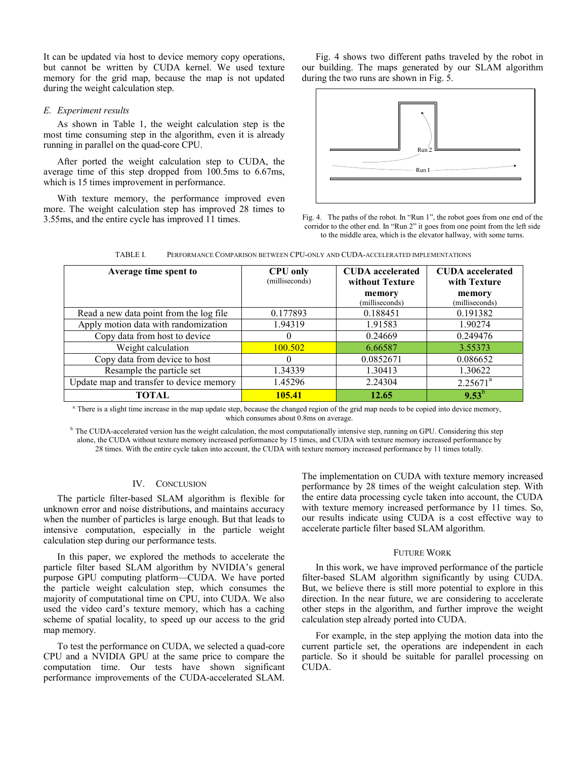It can be updated via host to device memory copy operations, but cannot be written by CUDA kernel. We used texture memory for the grid map, because the map is not updated during the weight calculation step.

## *E. Experiment results*

As shown in Table 1, the weight calculation step is the most time consuming step in the algorithm, even it is already running in parallel on the quad-core CPU.

After ported the weight calculation step to CUDA, the average time of this step dropped from 100.5ms to 6.67ms, which is 15 times improvement in performance.

With texture memory, the performance improved even more. The weight calculation step has improved 28 times to 3.55ms, and the entire cycle has improved 11 times.

Fig. 4 shows two different paths traveled by the robot in our building. The maps generated by our SLAM algorithm during the two runs are shown in Fig. 5.



Fig. 4. The paths of the robot. In "Run 1", the robot goes from one end of the corridor to the other end. In "Run 2" it goes from one point from the left side to the middle area, which is the elevator hallway, with some turns.

| Average time spent to                    | <b>CPU</b> only<br>(milliseconds) | <b>CUDA</b> accelerated<br>without Texture<br>memory<br>(milliseconds) | <b>CUDA</b> accelerated<br>with Texture<br>memory<br>(milliseconds) |
|------------------------------------------|-----------------------------------|------------------------------------------------------------------------|---------------------------------------------------------------------|
| Read a new data point from the log file  | 0.177893                          | 0.188451                                                               | 0.191382                                                            |
| Apply motion data with randomization     | 1.94319                           | 1.91583                                                                | 1.90274                                                             |
| Copy data from host to device            | $\theta$                          | 0.24669                                                                | 0.249476                                                            |
| Weight calculation                       | 100.502                           | 6.66587                                                                | 3.55373                                                             |
| Copy data from device to host            | $\Omega$                          | 0.0852671                                                              | 0.086652                                                            |
| Resample the particle set                | 1.34339                           | 1.30413                                                                | 1.30622                                                             |
| Update map and transfer to device memory | 1.45296                           | 2.24304                                                                | $2.25671^a$                                                         |
| TOTAL                                    | 105.41                            | 12.65                                                                  | $9.53^{b}$                                                          |

TABLE I. PERFORMANCE COMPARISON BETWEEN CPU-ONLY AND CUDA-ACCELERATED IMPLEMENTATIONS

<sup>a.</sup> There is a slight time increase in the map update step, because the changed region of the grid map needs to be copied into device memory, which consumes about 0.8ms on average.

 $\mu$ . The CUDA-accelerated version has the weight calculation, the most computationally intensive step, running on GPU. Considering this step alone, the CUDA without texture memory increased performance by 15 times, and CUDA with texture memory increased performance by 28 times. With the entire cycle taken into account, the CUDA with texture memory increased performance by 11 times totally.

### IV. CONCLUSION

The particle filter-based SLAM algorithm is flexible for unknown error and noise distributions, and maintains accuracy when the number of particles is large enough. But that leads to intensive computation, especially in the particle weight calculation step during our performance tests.

In this paper, we explored the methods to accelerate the particle filter based SLAM algorithm by NVIDIA's general purpose GPU computing platform—CUDA. We have ported the particle weight calculation step, which consumes the majority of computational time on CPU, into CUDA. We also used the video card's texture memory, which has a caching scheme of spatial locality, to speed up our access to the grid map memory.

To test the performance on CUDA, we selected a quad-core CPU and a NVIDIA GPU at the same price to compare the computation time. Our tests have shown significant performance improvements of the CUDA-accelerated SLAM.

The implementation on CUDA with texture memory increased performance by 28 times of the weight calculation step. With the entire data processing cycle taken into account, the CUDA with texture memory increased performance by 11 times. So, our results indicate using CUDA is a cost effective way to accelerate particle filter based SLAM algorithm.

#### FUTURE WORK

In this work, we have improved performance of the particle filter-based SLAM algorithm significantly by using CUDA. But, we believe there is still more potential to explore in this direction. In the near future, we are considering to accelerate other steps in the algorithm, and further improve the weight calculation step already ported into CUDA.

For example, in the step applying the motion data into the current particle set, the operations are independent in each particle. So it should be suitable for parallel processing on CUDA.